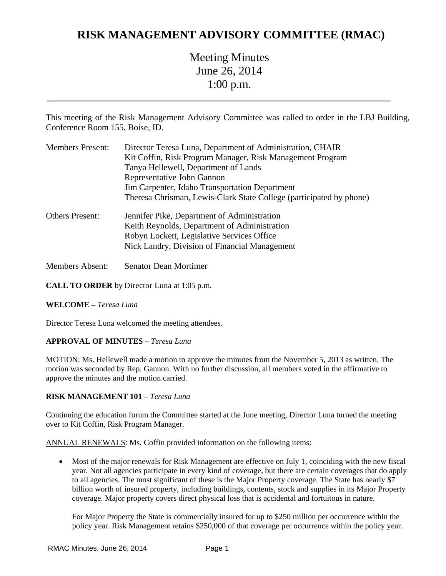# **RISK MANAGEMENT ADVISORY COMMITTEE (RMAC)**

Meeting Minutes June 26, 2014 1:00 p.m.

This meeting of the Risk Management Advisory Committee was called to order in the LBJ Building, Conference Room 155, Boise, ID.

| <b>Members Present:</b> | Director Teresa Luna, Department of Administration, CHAIR<br>Kit Coffin, Risk Program Manager, Risk Management Program<br>Tanya Hellewell, Department of Lands<br>Representative John Gannon<br>Jim Carpenter, Idaho Transportation Department<br>Theresa Chrisman, Lewis-Clark State College (participated by phone) |
|-------------------------|-----------------------------------------------------------------------------------------------------------------------------------------------------------------------------------------------------------------------------------------------------------------------------------------------------------------------|
| <b>Others Present:</b>  | Jennifer Pike, Department of Administration<br>Keith Reynolds, Department of Administration<br>Robyn Lockett, Legislative Services Office<br>Nick Landry, Division of Financial Management                                                                                                                            |
| <b>Members Absent:</b>  | <b>Senator Dean Mortimer</b>                                                                                                                                                                                                                                                                                          |

**CALL TO ORDER** by Director Luna at 1:05 p.m.

## **WELCOME** – *Teresa Luna*

Director Teresa Luna welcomed the meeting attendees.

## **APPROVAL OF MINUTES** – *Teresa Luna*

MOTION: Ms. Hellewell made a motion to approve the minutes from the November 5, 2013 as written. The motion was seconded by Rep. Gannon. With no further discussion, all members voted in the affirmative to approve the minutes and the motion carried.

## **RISK MANAGEMENT 101** – *Teresa Luna*

Continuing the education forum the Committee started at the June meeting, Director Luna turned the meeting over to Kit Coffin, Risk Program Manager.

ANNUAL RENEWALS: Ms. Coffin provided information on the following items:

 Most of the major renewals for Risk Management are effective on July 1, coinciding with the new fiscal year. Not all agencies participate in every kind of coverage, but there are certain coverages that do apply to all agencies. The most significant of these is the Major Property coverage. The State has nearly \$7 billion worth of insured property, including buildings, contents, stock and supplies in its Major Property coverage. Major property covers direct physical loss that is accidental and fortuitous in nature.

For Major Property the State is commercially insured for up to \$250 million per occurrence within the policy year. Risk Management retains \$250,000 of that coverage per occurrence within the policy year.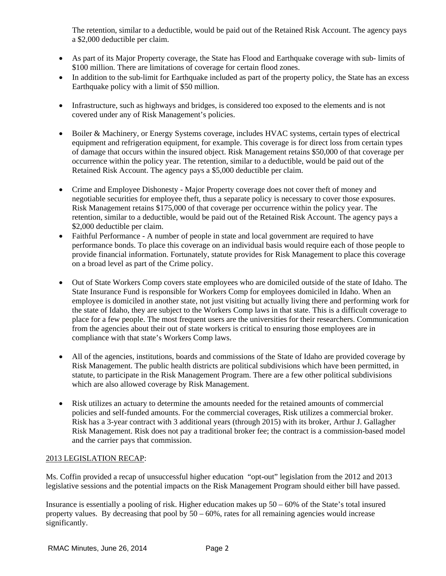The retention, similar to a deductible, would be paid out of the Retained Risk Account. The agency pays a \$2,000 deductible per claim.

- As part of its Major Property coverage, the State has Flood and Earthquake coverage with sub- limits of \$100 million. There are limitations of coverage for certain flood zones.
- In addition to the sub-limit for Earthquake included as part of the property policy, the State has an excess Earthquake policy with a limit of \$50 million.
- Infrastructure, such as highways and bridges, is considered too exposed to the elements and is not covered under any of Risk Management's policies.
- Boiler & Machinery, or Energy Systems coverage, includes HVAC systems, certain types of electrical equipment and refrigeration equipment, for example. This coverage is for direct loss from certain types of damage that occurs within the insured object. Risk Management retains \$50,000 of that coverage per occurrence within the policy year. The retention, similar to a deductible, would be paid out of the Retained Risk Account. The agency pays a \$5,000 deductible per claim.
- Crime and Employee Dishonesty Major Property coverage does not cover theft of money and negotiable securities for employee theft, thus a separate policy is necessary to cover those exposures. Risk Management retains \$175,000 of that coverage per occurrence within the policy year. The retention, similar to a deductible, would be paid out of the Retained Risk Account. The agency pays a \$2,000 deductible per claim.
- Faithful Performance A number of people in state and local government are required to have performance bonds. To place this coverage on an individual basis would require each of those people to provide financial information. Fortunately, statute provides for Risk Management to place this coverage on a broad level as part of the Crime policy.
- Out of State Workers Comp covers state employees who are domiciled outside of the state of Idaho. The State Insurance Fund is responsible for Workers Comp for employees domiciled in Idaho. When an employee is domiciled in another state, not just visiting but actually living there and performing work for the state of Idaho, they are subject to the Workers Comp laws in that state. This is a difficult coverage to place for a few people. The most frequent users are the universities for their researchers. Communication from the agencies about their out of state workers is critical to ensuring those employees are in compliance with that state's Workers Comp laws.
- All of the agencies, institutions, boards and commissions of the State of Idaho are provided coverage by Risk Management. The public health districts are political subdivisions which have been permitted, in statute, to participate in the Risk Management Program. There are a few other political subdivisions which are also allowed coverage by Risk Management.
- Risk utilizes an actuary to determine the amounts needed for the retained amounts of commercial policies and self-funded amounts. For the commercial coverages, Risk utilizes a commercial broker. Risk has a 3-year contract with 3 additional years (through 2015) with its broker, Arthur J. Gallagher Risk Management. Risk does not pay a traditional broker fee; the contract is a commission-based model and the carrier pays that commission.

## 2013 LEGISLATION RECAP:

Ms. Coffin provided a recap of unsuccessful higher education "opt-out" legislation from the 2012 and 2013 legislative sessions and the potential impacts on the Risk Management Program should either bill have passed.

Insurance is essentially a pooling of risk. Higher education makes up 50 – 60% of the State's total insured property values. By decreasing that pool by  $50 - 60\%$ , rates for all remaining agencies would increase significantly.